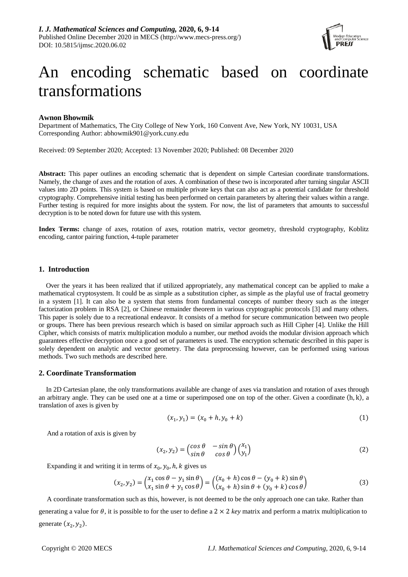

# An encoding schematic based on coordinate transformations

## **Awnon Bhowmik**

Department of Mathematics, The City College of New York, 160 Convent Ave, New York, NY 10031, USA Corresponding Author: abhowmik901@york.cuny.edu

Received: 09 September 2020; Accepted: 13 November 2020; Published: 08 December 2020

**Abstract:** This paper outlines an encoding schematic that is dependent on simple Cartesian coordinate transformations. Namely, the change of axes and the rotation of axes. A combination of these two is incorporated after turning singular ASCII values into 2D points. This system is based on multiple private keys that can also act as a potential candidate for threshold cryptography. Comprehensive initial testing has been performed on certain parameters by altering their values within a range. Further testing is required for more insights about the system. For now, the list of parameters that amounts to successful decryption is to be noted down for future use with this system.

**Index Terms:** change of axes, rotation of axes, rotation matrix, vector geometry, threshold cryptography, Koblitz encoding, cantor pairing function, 4-tuple parameter

# **1. Introduction**

Over the years it has been realized that if utilized appropriately, any mathematical concept can be applied to make a mathematical cryptosystem. It could be as simple as a substitution cipher, as simple as the playful use of fractal geometry in a system [1]. It can also be a system that stems from fundamental concepts of number theory such as the integer factorization problem in RSA [2], or Chinese remainder theorem in various cryptographic protocols [3] and many others. This paper is solely due to a recreational endeavor. It consists of a method for secure communication between two people or groups. There has been previous research which is based on similar approach such as Hill Cipher [4]. Unlike the Hill Cipher, which consists of matrix multiplication modulo a number, our method avoids the modular division approach which guarantees effective decryption once a good set of parameters is used. The encryption schematic described in this paper is solely dependent on analytic and vector geometry. The data preprocessing however, can be performed using various methods. Two such methods are described here.

# **2. Coordinate Transformation**

In 2D Cartesian plane, the only transformations available are change of axes via translation and rotation of axes through an arbitrary angle. They can be used one at a time or superimposed one on top of the other. Given a coordinate  $(h, k)$ , a translation of axes is given by

$$
(x_1, y_1) = (x_0 + h, y_0 + k) \tag{1}
$$

And a rotation of axis is given by

$$
(x_2, y_2) = \begin{pmatrix} \cos \theta & -\sin \theta \\ \sin \theta & \cos \theta \end{pmatrix} \begin{pmatrix} x_1 \\ y_1 \end{pmatrix} \tag{2}
$$

Expanding it and writing it in terms of  $x_0$ ,  $y_0$ ,  $h$ ,  $k$  gives us

$$
(x_2, y_2) = \begin{pmatrix} x_1 \cos \theta - y_1 \sin \theta \\ x_1 \sin \theta + y_1 \cos \theta \end{pmatrix} = \begin{pmatrix} (x_0 + h) \cos \theta - (y_0 + k) \sin \theta \\ (x_0 + h) \sin \theta + (y_0 + k) \cos \theta \end{pmatrix}
$$
(3)

A coordinate transformation such as this, however, is not deemed to be the only approach one can take. Rather than generating a value for  $\theta$ , it is possible to for the user to define a  $2 \times 2 \; \text{key}$  matrix and perform a matrix multiplication to generate  $(x_2, y_2)$ .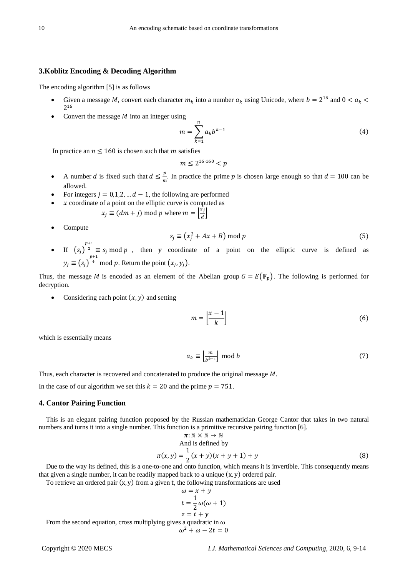# **3.Koblitz Encoding & Decoding Algorithm**

The encoding algorithm [5] is as follows

- Given a message M, convert each character  $m_k$  into a number  $a_k$  using Unicode, where  $b = 2^{16}$  and  $0 < a_k$ 2<sup>16</sup>
- Convert the message  $M$  into an integer using

$$
m = \sum_{k=1}^{n} a_k b^{k-1}
$$
 (4)

In practice an  $n \le 160$  is chosen such that m satisfies

$$
m\leq 2^{16\cdot 160}
$$

- A number *d* is fixed such that  $d \leq \frac{p}{m}$ . In practice the prime *p* is chosen large enough so that  $d = 100$  can be allowed.
- For integers  $j = 0,1,2, \dots d-1$ , the following are performed
	- $x$  coordinate of a point on the elliptic curve is computed as
		- $x_j \equiv (dm + j) \bmod p$  where  $m = \left\lfloor \frac{x_j}{d} \right\rfloor$
- Compute

$$
s_j \equiv (x_j^3 + Ax + B) \bmod p \tag{5}
$$

• If  $(s_j)^{\frac{p+1}{2}} \equiv s_j \mod p$ , then y coordinate of a point on the elliptic curve is defined as  $y_j \equiv (s_j)$  $\frac{p+1}{4}$  mod p. Return the point  $(x_j, y_j)$ .

Thus, the message *M* is encoded as an element of the Abelian group  $G = E(\mathbb{F}_n)$ . The following is performed for decryption.

• Considering each point  $(x, y)$  and setting

$$
m = \left[\frac{x-1}{k}\right] \tag{6}
$$

which is essentially means

$$
a_k \equiv \left\lfloor \frac{m}{b^{k-1}} \right\rfloor \bmod b \tag{7}
$$

Thus, each character is recovered and concatenated to produce the original message  $M$ .

In the case of our algorithm we set this  $k = 20$  and the prime  $p = 751$ .

#### **4. Cantor Pairing Function**

This is an elegant pairing function proposed by the Russian mathematician George Cantor that takes in two natural numbers and turns it into a single number. This function is a primitive recursive pairing function [6].

$$
\pi: \mathbb{N} \times \mathbb{N} \to \mathbb{N}
$$
  
And is defined by  

$$
\pi(x, y) = \frac{1}{2}(x + y)(x + y + 1) + y
$$
(8)

 $\pi(x, y) = \frac{1}{2}(x + y)(x + y + 1) + y$  (8)<br>Due to the way its defined, this is a one-to-one and onto function, which means it is invertible. This consequently means that given a single number, it can be readily mapped back to a unique  $(x, y)$  ordered pair.

To retrieve an ordered pair  $(x, y)$  from a given t, the following transformations are used

$$
\omega = x + y
$$
  
\n
$$
t = \frac{1}{2}\omega(\omega + 1)
$$
  
\n
$$
z = t + y
$$

From the second equation, cross multiplying gives a quadratic in  $\omega$ 

$$
\omega^2 + \omega - 2t = 0
$$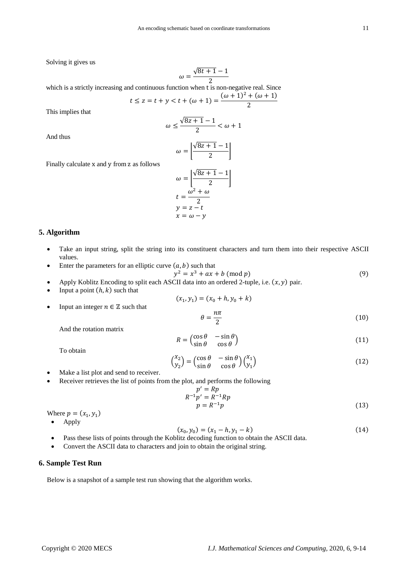Solving it gives us

$$
\omega = \frac{\sqrt{8t+1} - 1}{2}
$$

which is a strictly increasing and continuous function when t is non-negative real. Since  $\frac{1}{(\omega + 1)^2 + (\omega + 1)}$ 

$$
t \le z = t + y < t + (\omega + 1) = \frac{(\omega + 1) + (\omega + 1)}{2}
$$

This implies that

$$
\omega \le \frac{\sqrt{8z+1}-1}{2} < \omega + 1
$$

And thus

$$
\omega = \left| \frac{\sqrt{8z + 1} - 1}{2} \right|
$$

$$
\omega = \left| \frac{\sqrt{8z + 1} - 1}{2} \right|
$$

$$
t = \frac{\omega^2 + \omega}{2}
$$
  
y = z - t  
x = \omega - y

# **5. Algorithm**

• Take an input string, split the string into its constituent characters and turn them into their respective ASCII values.

 $(x_1, y_1) = (x_0 + h, y_0 + k)$ 

Enter the parameters for an elliptic curve  $(a, b)$  such that

$$
y^2 = x^3 + ax + b \text{ (mod } p)
$$
\n<sup>(9)</sup>

- Apply Koblitz Encoding to split each ASCII data into an ordered 2-tuple, i.e.  $(x, y)$  pair.
- Input a point  $(h, k)$  such that
- Input an integer  $n \in \mathbb{Z}$  such that

Finally calculate x and y from z as follows

$$
\theta = \frac{n\pi}{2} \tag{10}
$$

And the rotation matrix

$$
R = \begin{pmatrix} \cos \theta & -\sin \theta \\ \sin \theta & \cos \theta \end{pmatrix}
$$
 (11)

To obtain

$$
\begin{pmatrix} x_2 \\ y_2 \end{pmatrix} = \begin{pmatrix} \cos \theta & -\sin \theta \\ \sin \theta & \cos \theta \end{pmatrix} \begin{pmatrix} x_1 \\ y_1 \end{pmatrix} \tag{12}
$$

- Make a list plot and send to receiver.
- Receiver retrieves the list of points from the plot, and performs the following

$$
p' = Rp
$$
  
\n
$$
R^{-1}p' = R^{-1}Rp
$$
  
\n
$$
p = R^{-1}p
$$
\n(13)

Where  $p = (x_1, y_1)$ 

• Apply

$$
(x_0, y_0) = (x_1 - h, y_1 - k)
$$
\n(14)

- Pass these lists of points through the Koblitz decoding function to obtain the ASCII data.
- Convert the ASCII data to characters and join to obtain the original string.

# **6. Sample Test Run**

Below is a snapshot of a sample test run showing that the algorithm works.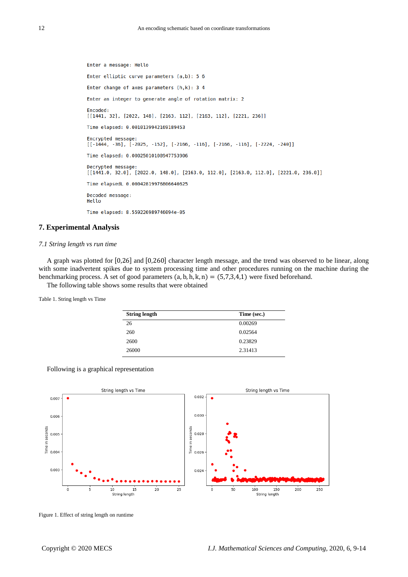Enter a message: Hello Enter elliptic curve parameters (a,b): 5 6 Enter change of axes parameters  $(h,k)$ : 3 4 Enter an integer to generate angle of rotation matrix: 2 Encoded: [[1441, 32], [2022, 148], [2163, 112], [2163, 112], [2221, 236]] Time elapsed: 0.0010139942169189453 Encrypted message:  $[[-1444, -36], [-2025, -152], [-2166, -116], [-2166, -116], [-2224, -240]]$ Time elapsed: 0.00025010108947753906 Decrypted message: [[1441.0, 32.0], [2022.0, 148.0], [2163.0, 112.0], [2163.0, 112.0], [2221.0, 236.0]] Time elapsedL 0.00042819976806640625 Decoded message: Hello Time elapsed: 8.559226989746094e-05

# **7. Experimental Analysis**

#### *7.1 String length vs run time*

A graph was plotted for [0,26] and [0,260] character length message, and the trend was observed to be linear, along with some inadvertent spikes due to system processing time and other procedures running on the machine during the benchmarking process. A set of good parameters  $(a, b, h, k, n) = (5, 7, 3, 4, 1)$  were fixed beforehand.

The following table shows some results that were obtained

Table 1. String length vs Time

| <b>String length</b> | Time (sec.) |
|----------------------|-------------|
| 26                   | 0.00269     |
| 260                  | 0.02564     |
| 2600                 | 0.23829     |
| 26000                | 2.31413     |

Following is a graphical representation



Figure 1. Effect of string length on runtime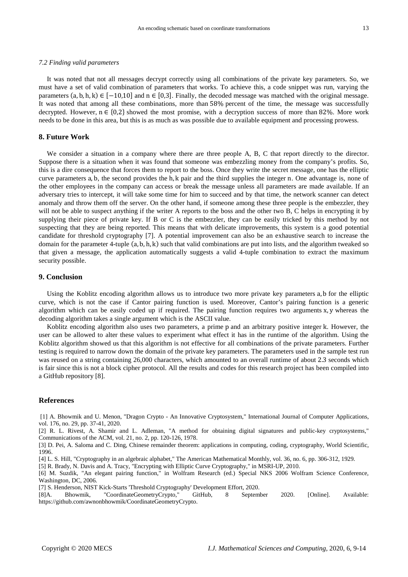#### *7.2 Finding valid parameters*

It was noted that not all messages decrypt correctly using all combinations of the private key parameters. So, we must have a set of valid combination of parameters that works. To achieve this, a code snippet was run, varying the parameters  $(a, b, h, k) \in [-10, 10]$  and  $n \in [0, 3]$ . Finally, the decoded message was matched with the original message. It was noted that among all these combinations, more than 58% percent of the time, the message was successfully decrypted. However,  $n \in \{0,2\}$  showed the most promise, with a decryption success of more than 82%. More work needs to be done in this area, but this is as much as was possible due to available equipment and processing prowess.

## **8. Future Work**

We consider a situation in a company where there are three people A, B, C that report directly to the director. Suppose there is a situation when it was found that someone was embezzling money from the company's profits. So, this is a dire consequence that forces them to report to the boss. Once they write the secret message, one has the elliptic curve parameters a, b, the second provides the h, k pair and the third supplies the integer n. One advantage is, none of the other employees in the company can access or break the message unless all parameters are made available. If an adversary tries to intercept, it will take some time for him to succeed and by that time, the network scanner can detect anomaly and throw them off the server. On the other hand, if someone among these three people is the embezzler, they will not be able to suspect anything if the writer A reports to the boss and the other two B, C helps in encrypting it by supplying their piece of private key. If B or C is the embezzler, they can be easily tricked by this method by not suspecting that they are being reported. This means that with delicate improvements, this system is a good potential candidate for threshold cryptography [7]. A potential improvement can also be an exhaustive search to increase the domain for the parameter 4-tuple  $(a, b, h, k)$  such that valid combinations are put into lists, and the algorithm tweaked so that given a message, the application automatically suggests a valid 4-tuple combination to extract the maximum security possible.

#### **9. Conclusion**

Using the Koblitz encoding algorithm allows us to introduce two more private key parameters a, b for the elliptic curve, which is not the case if Cantor pairing function is used. Moreover, Cantor's pairing function is a generic algorithm which can be easily coded up if required. The pairing function requires two arguments x, y whereas the decoding algorithm takes a single argument which is the ASCII value.

Koblitz encoding algorithm also uses two parameters, a prime p and an arbitrary positive integer k. However, the user can be allowed to alter these values to experiment what effect it has in the runtime of the algorithm. Using the Koblitz algorithm showed us that this algorithm is not effective for all combinations of the private parameters. Further testing is required to narrow down the domain of the private key parameters. The parameters used in the sample test run was reused on a string containing 26,000 characters, which amounted to an overall runtime of about 2.3 seconds which is fair since this is not a block cipher protocol. All the results and codes for this research project has been compiled into a GitHub repository [8].

# **References**

[1] A. Bhowmik and U. Menon, "Dragon Crypto - An Innovative Cryptosystem," International Journal of Computer Applications, vol. 176, no. 29, pp. 37-41, 2020.

[2] R. L. Rivest, A. Shamir and L. Adleman, "A method for obtaining digital signatures and public-key cryptosystems," Communications of the ACM, vol. 21, no. 2, pp. 120-126, 1978.

[3] D. Pei, A. Saloma and C. Ding, Chinese remainder theorem: applications in computing, coding, cryptography, World Scientific, 1996.

[4] L. S. Hill, "Cryptography in an algebraic alphabet," The American Mathematical Monthly, vol. 36, no. 6, pp. 306-312, 1929.

[5] R. Brady, N. Davis and A. Tracy, "Encrypting with Elliptic Curve Cryptography," in MSRI-UP, 2010.

[6] M. Suzdik, "An elegant pairing function," in Wolfram Research (ed.) Special NKS 2006 Wolfram Science Conference, Washington, DC, 2006.

[7] S. Henderson, NIST Kick-Starts 'Threshold Cryptography' Development Effort, 2020.

[8]A. Bhowmik, "CoordinateGeometryCrypto," GitHub, 8 September 2020. [Online]. Available: https://github.com/awnonbhowmik/CoordinateGeometryCrypto.